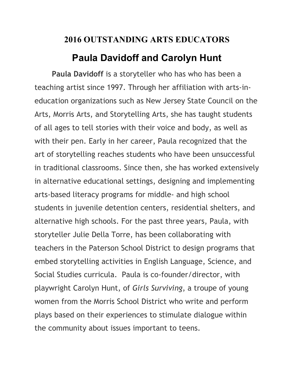## **2016 OUTSTANDING ARTS EDUCATORS**

## **Paula Davidoff and Carolyn Hunt**

 **Paula Davidoff** is a storyteller who has who has been a teaching artist since 1997. Through her affiliation with arts-ineducation organizations such as New Jersey State Council on the Arts, Morris Arts, and Storytelling Arts, she has taught students of all ages to tell stories with their voice and body, as well as with their pen. Early in her career, Paula recognized that the art of storytelling reaches students who have been unsuccessful in traditional classrooms. Since then, she has worked extensively in alternative educational settings, designing and implementing arts-based literacy programs for middle- and high school students in juvenile detention centers, residential shelters, and alternative high schools. For the past three years, Paula, with storyteller Julie Della Torre, has been collaborating with teachers in the Paterson School District to design programs that embed storytelling activities in English Language, Science, and Social Studies curricula. Paula is co-founder/director, with playwright Carolyn Hunt, of *Girls Surviving*, a troupe of young women from the Morris School District who write and perform plays based on their experiences to stimulate dialogue within the community about issues important to teens.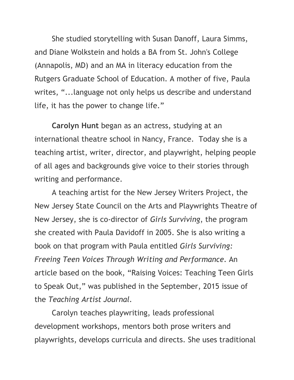She studied storytelling with Susan Danoff, Laura Simms, and Diane Wolkstein and holds a BA from St. John's College (Annapolis, MD) and an MA in literacy education from the Rutgers Graduate School of Education. A mother of five, Paula writes, "...language not only helps us describe and understand life, it has the power to change life."

**Carolyn Hunt** began as an actress, studying at an international theatre school in Nancy, France. Today she is a teaching artist, writer, director, and playwright, helping people of all ages and backgrounds give voice to their stories through writing and performance.

A teaching artist for the New Jersey Writers Project, the New Jersey State Council on the Arts and Playwrights Theatre of New Jersey, she is co-director of *Girls Surviving*, the program she created with Paula Davidoff in 2005. She is also writing a book on that program with Paula entitled *Girls Surviving: Freeing Teen Voices Through Writing and Performance*. An article based on the book, "Raising Voices: Teaching Teen Girls to Speak Out," was published in the September, 2015 issue of the *Teaching Artist Journal.* 

Carolyn teaches playwriting, leads professional development workshops, mentors both prose writers and playwrights, develops curricula and directs. She uses traditional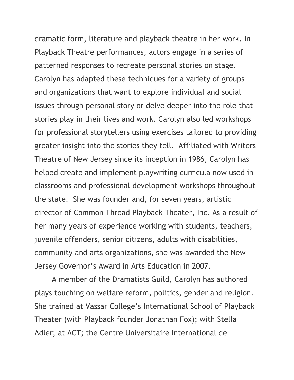dramatic form, literature and playback theatre in her work. In Playback Theatre performances, actors engage in a series of patterned responses to recreate personal stories on stage. Carolyn has adapted these techniques for a variety of groups and organizations that want to explore individual and social issues through personal story or delve deeper into the role that stories play in their lives and work. Carolyn also led workshops for professional storytellers using exercises tailored to providing greater insight into the stories they tell. Affiliated with Writers Theatre of New Jersey since its inception in 1986, Carolyn has helped create and implement playwriting curricula now used in classrooms and professional development workshops throughout the state. She was founder and, for seven years, artistic director of Common Thread Playback Theater, Inc. As a result of her many years of experience working with students, teachers, juvenile offenders, senior citizens, adults with disabilities, community and arts organizations, she was awarded the New Jersey Governor's Award in Arts Education in 2007.

A member of the Dramatists Guild, Carolyn has authored plays touching on welfare reform, politics, gender and religion. She trained at Vassar College's International School of Playback Theater (with Playback founder Jonathan Fox); with Stella Adler; at ACT; the Centre Universitaire International de